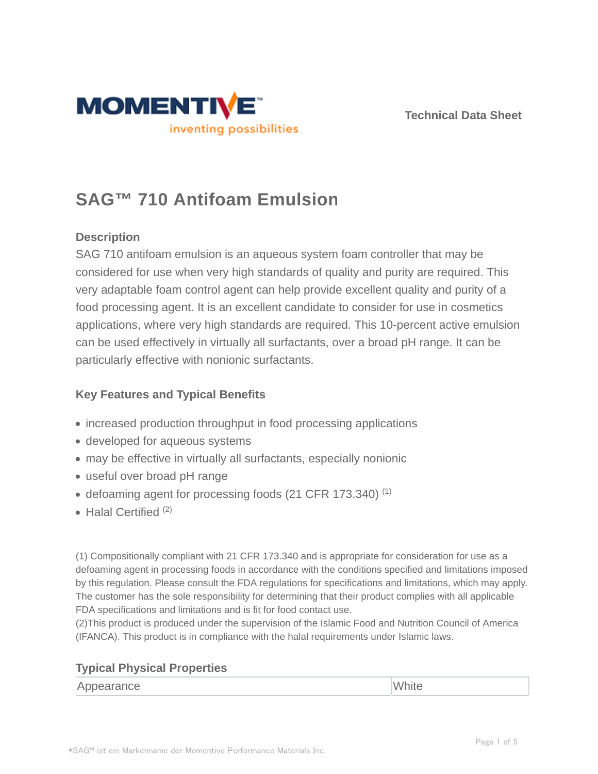



# **SAG™ 710 Antifoam Emulsion**

# **Description**

SAG 710 antifoam emulsion is an aqueous system foam controller that may be considered for use when very high standards of quality and purity are required. This very adaptable foam control agent can help provide excellent quality and purity of a food processing agent. It is an excellent candidate to consider for use in cosmetics applications, where very high standards are required. This 10-percent active emulsion can be used effectively in virtually all surfactants, over a broad pH range. It can be particularly effective with nonionic surfactants.

# **Key Features and Typical Benefits**

- increased production throughput in food processing applications
- developed for aqueous systems
- may be effective in virtually all surfactants, especially nonionic
- useful over broad pH range
- defoaming agent for processing foods (21 CFR 173.340)<sup>(1)</sup>
- $\bullet$  Halal Certified  $(2)$

(1) Compositionally compliant with 21 CFR 173.340 and is appropriate for consideration for use as a defoaming agent in processing foods in accordance with the conditions specified and limitations imposed by this regulation. Please consult the FDA regulations for specifications and limitations, which may apply. The customer has the sole responsibility for determining that their product complies with all applicable FDA specifications and limitations and is fit for food contact use.

(2)This product is produced under the supervision of the Islamic Food and Nutrition Council of America (IFANCA). This product is in compliance with the halal requirements under Islamic laws.

# **Typical Physical Properties**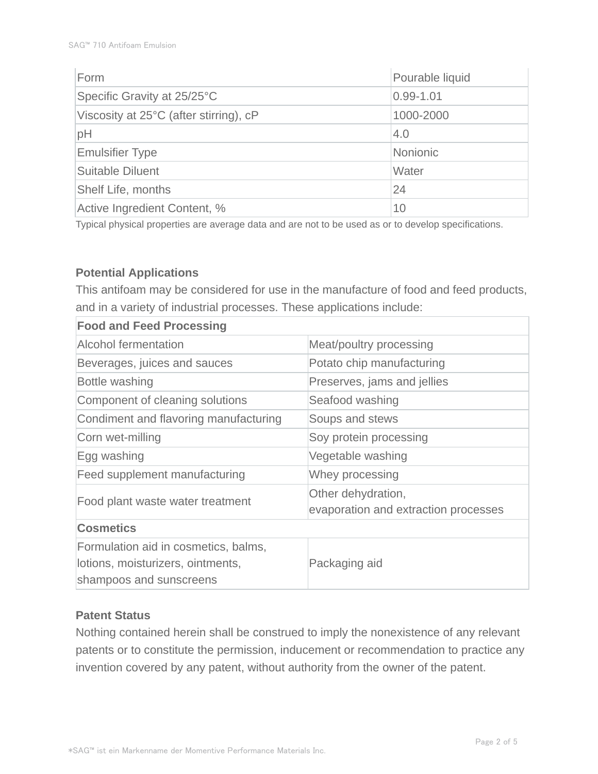| Form                                   | Pourable liquid |  |
|----------------------------------------|-----------------|--|
| Specific Gravity at 25/25°C            | $0.99 - 1.01$   |  |
| Viscosity at 25°C (after stirring), cP | 1000-2000       |  |
| pH                                     | 4.0             |  |
| <b>Emulsifier Type</b>                 | <b>Nonionic</b> |  |
| <b>Suitable Diluent</b>                | Water           |  |
| <b>Shelf Life, months</b>              | 24              |  |
| Active Ingredient Content, %           | 10              |  |

Typical physical properties are average data and are not to be used as or to develop specifications.

#### **Potential Applications**

This antifoam may be considered for use in the manufacture of food and feed products, and in a variety of industrial processes. These applications include:

| <b>Food and Feed Processing</b>                                                                      |                                                            |  |  |
|------------------------------------------------------------------------------------------------------|------------------------------------------------------------|--|--|
| <b>Alcohol fermentation</b>                                                                          | Meat/poultry processing                                    |  |  |
| Beverages, juices and sauces                                                                         | Potato chip manufacturing                                  |  |  |
| Bottle washing                                                                                       | Preserves, jams and jellies                                |  |  |
| Component of cleaning solutions                                                                      | Seafood washing                                            |  |  |
| Condiment and flavoring manufacturing                                                                | Soups and stews                                            |  |  |
| Corn wet-milling                                                                                     | Soy protein processing                                     |  |  |
| Egg washing                                                                                          | Vegetable washing                                          |  |  |
| Feed supplement manufacturing                                                                        | Whey processing                                            |  |  |
| Food plant waste water treatment                                                                     | Other dehydration,<br>evaporation and extraction processes |  |  |
| <b>Cosmetics</b>                                                                                     |                                                            |  |  |
| Formulation aid in cosmetics, balms,<br>lotions, moisturizers, ointments,<br>shampoos and sunscreens | Packaging aid                                              |  |  |

#### **Patent Status**

Nothing contained herein shall be construed to imply the nonexistence of any relevant patents or to constitute the permission, inducement or recommendation to practice any invention covered by any patent, without authority from the owner of the patent.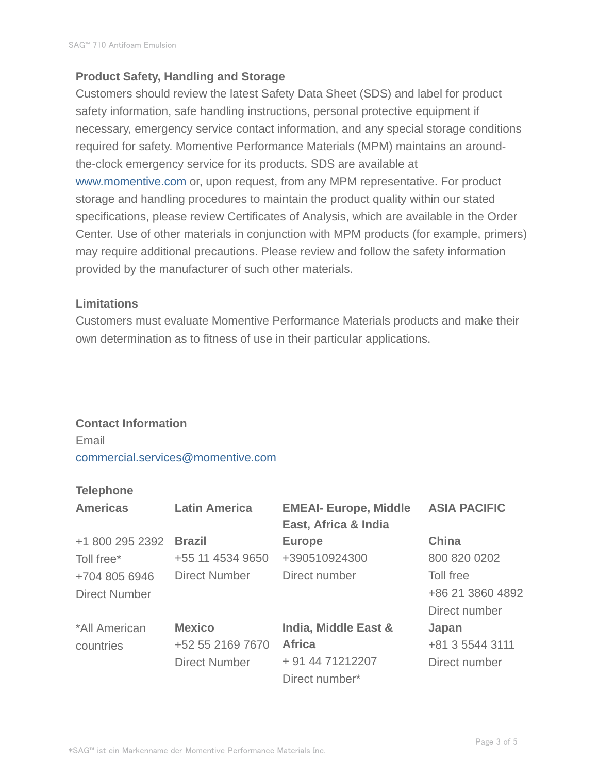### **Product Safety, Handling and Storage**

Customers should review the latest Safety Data Sheet (SDS) and label for product safety information, safe handling instructions, personal protective equipment if necessary, emergency service contact information, and any special storage conditions required for safety. Momentive Performance Materials (MPM) maintains an aroundthe-clock emergency service for its products. SDS are available at www.momentive.com or, upon request, from any MPM representative. For product storage and handling procedures to maintain the product quality within our stated specifications, please review Certificates of Analysis, which are available in the Order Center. Use of other materials in conjunction with MPM products (for example, primers) may require additional precautions. Please review and follow the safety information provided by the manufacturer of such other materials.

#### **Limitations**

Customers must evaluate Momentive Performance Materials products and make their own determination as to fitness of use in their particular applications.

#### **Contact Information**

Email commercial.services@momentive.com

#### **Telephone**

| <b>Americas</b>      | <b>Latin America</b> | <b>EMEAI- Europe, Middle</b><br>East, Africa & India | <b>ASIA PACIFIC</b> |
|----------------------|----------------------|------------------------------------------------------|---------------------|
| +1 800 295 2392      | <b>Brazil</b>        | <b>Europe</b>                                        | <b>China</b>        |
| Toll free*           | +55 11 4534 9650     | +390510924300                                        | 800 820 0202        |
| +704 805 6946        | <b>Direct Number</b> | Direct number                                        | Toll free           |
| <b>Direct Number</b> |                      |                                                      | +86 21 3860 4892    |
|                      |                      |                                                      | Direct number       |
| *All American        | <b>Mexico</b>        | India, Middle East &                                 | Japan               |
| countries            | +52 55 2169 7670     | <b>Africa</b>                                        | +81 3 5544 3111     |
|                      | <b>Direct Number</b> | + 91 44 71212207                                     | Direct number       |
|                      |                      | Direct number*                                       |                     |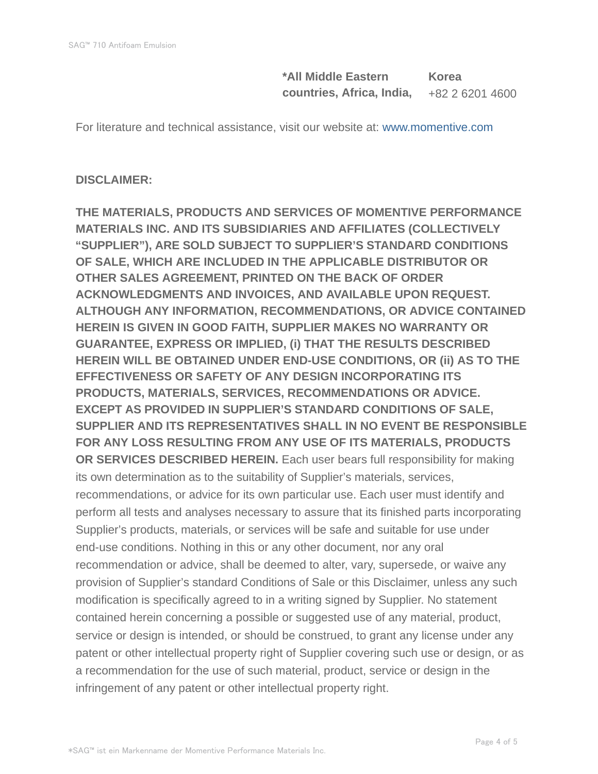**\*All Middle Eastern countries, Africa, India, Korea** +82 2 6201 4600

For literature and technical assistance, visit our website at: www.momentive.com

#### **DISCLAIMER:**

**THE MATERIALS, PRODUCTS AND SERVICES OF MOMENTIVE PERFORMANCE MATERIALS INC. AND ITS SUBSIDIARIES AND AFFILIATES (COLLECTIVELY "SUPPLIER"), ARE SOLD SUBJECT TO SUPPLIER'S STANDARD CONDITIONS OF SALE, WHICH ARE INCLUDED IN THE APPLICABLE DISTRIBUTOR OR OTHER SALES AGREEMENT, PRINTED ON THE BACK OF ORDER ACKNOWLEDGMENTS AND INVOICES, AND AVAILABLE UPON REQUEST. ALTHOUGH ANY INFORMATION, RECOMMENDATIONS, OR ADVICE CONTAINED HEREIN IS GIVEN IN GOOD FAITH, SUPPLIER MAKES NO WARRANTY OR GUARANTEE, EXPRESS OR IMPLIED, (i) THAT THE RESULTS DESCRIBED HEREIN WILL BE OBTAINED UNDER END-USE CONDITIONS, OR (ii) AS TO THE EFFECTIVENESS OR SAFETY OF ANY DESIGN INCORPORATING ITS PRODUCTS, MATERIALS, SERVICES, RECOMMENDATIONS OR ADVICE. EXCEPT AS PROVIDED IN SUPPLIER'S STANDARD CONDITIONS OF SALE, SUPPLIER AND ITS REPRESENTATIVES SHALL IN NO EVENT BE RESPONSIBLE FOR ANY LOSS RESULTING FROM ANY USE OF ITS MATERIALS, PRODUCTS OR SERVICES DESCRIBED HEREIN.** Each user bears full responsibility for making its own determination as to the suitability of Supplier's materials, services, recommendations, or advice for its own particular use. Each user must identify and perform all tests and analyses necessary to assure that its finished parts incorporating Supplier's products, materials, or services will be safe and suitable for use under end-use conditions. Nothing in this or any other document, nor any oral recommendation or advice, shall be deemed to alter, vary, supersede, or waive any provision of Supplier's standard Conditions of Sale or this Disclaimer, unless any such modification is specifically agreed to in a writing signed by Supplier. No statement contained herein concerning a possible or suggested use of any material, product, service or design is intended, or should be construed, to grant any license under any patent or other intellectual property right of Supplier covering such use or design, or as a recommendation for the use of such material, product, service or design in the infringement of any patent or other intellectual property right.